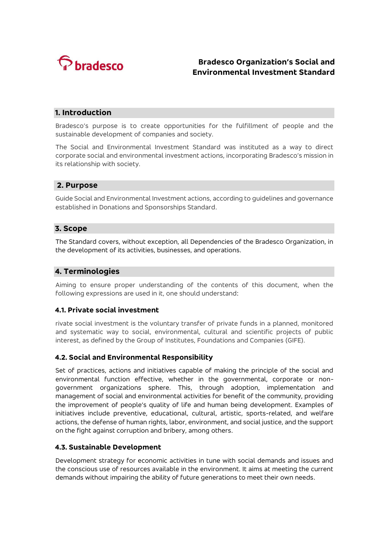

# **Bradesco Organization's Social and Environmental Investment Standard**

## **1. Introduction**

Bradesco's purpose is to create opportunities for the fulfillment of people and the sustainable development of companies and society.

The Social and Environmental Investment Standard was instituted as a way to direct corporate social and environmental investment actions, incorporating Bradesco's mission in its relationship with society.

## **2. Purpose**

Guide Social and Environmental Investment actions, according to guidelines and governance established in Donations and Sponsorships Standard.

## **3. Scope**

The Standard covers, without exception, all Dependencies of the Bradesco Organization, in the development of its activities, businesses, and operations.

## **4. Terminologies**

Aiming to ensure proper understanding of the contents of this document, when the following expressions are used in it, one should understand:

#### **4.1. Private social investment**

rivate social investment is the voluntary transfer of private funds in a planned, monitored and systematic way to social, environmental, cultural and scientific projects of public interest, as defined by the Group of Institutes, Foundations and Companies (GIFE).

#### **4.2. Social and Environmental Responsibility**

Set of practices, actions and initiatives capable of making the principle of the social and environmental function effective, whether in the governmental, corporate or nongovernment organizations sphere. This, through adoption, implementation and management of social and environmental activities for benefit of the community, providing the improvement of people's quality of life and human being development. Examples of initiatives include preventive, educational, cultural, artistic, sports-related, and welfare actions, the defense of human rights, labor, environment, and social justice, and the support on the fight against corruption and bribery, among others.

#### **4.3. Sustainable Development**

Development strategy for economic activities in tune with social demands and issues and the conscious use of resources available in the environment. It aims at meeting the current demands without impairing the ability of future generations to meet their own needs.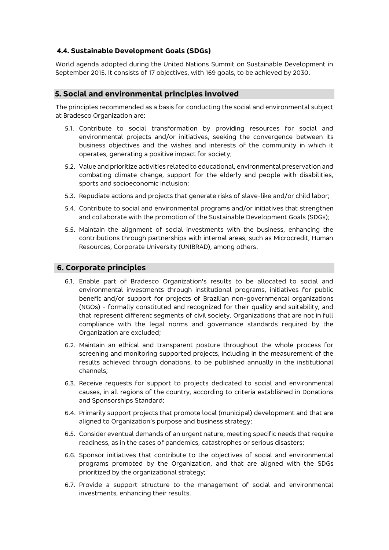## **4.4. Sustainable Development Goals (SDGs)**

World agenda adopted during the United Nations Summit on Sustainable Development in September 2015. It consists of 17 objectives, with 169 goals, to be achieved by 2030.

## **5. Social and environmental principles involved**

The principles recommended as a basis for conducting the social and environmental subject at Bradesco Organization are:

- 5.1. Contribute to social transformation by providing resources for social and environmental projects and/or initiatives, seeking the convergence between its business objectives and the wishes and interests of the community in which it operates, generating a positive impact for society;
- 5.2. Value and prioritize activities related to educational, environmental preservation and combating climate change, support for the elderly and people with disabilities, sports and socioeconomic inclusion;
- 5.3. Repudiate actions and projects that generate risks of slave-like and/or child labor;
- 5.4. Contribute to social and environmental programs and/or initiatives that strengthen and collaborate with the promotion of the Sustainable Development Goals (SDGs);
- 5.5. Maintain the alignment of social investments with the business, enhancing the contributions through partnerships with internal areas, such as Microcredit, Human Resources, Corporate University (UNIBRAD), among others.

## **6. Corporate principles**

- 6.1. Enable part of Bradesco Organization's results to be allocated to social and environmental investments through institutional programs, initiatives for public benefit and/or support for projects of Brazilian non-governmental organizations (NGOs) - formally constituted and recognized for their quality and suitability, and that represent different segments of civil society. Organizations that are not in full compliance with the legal norms and governance standards required by the Organization are excluded;
- 6.2. Maintain an ethical and transparent posture throughout the whole process for screening and monitoring supported projects, including in the measurement of the results achieved through donations, to be published annually in the institutional channels;
- 6.3. Receive requests for support to projects dedicated to social and environmental causes, in all regions of the country, according to criteria established in Donations and Sponsorships Standard;
- 6.4. Primarily support projects that promote local (municipal) development and that are aligned to Organization's purpose and business strategy;
- 6.5. Consider eventual demands of an urgent nature, meeting specific needs that require readiness, as in the cases of pandemics, catastrophes or serious disasters;
- 6.6. Sponsor initiatives that contribute to the objectives of social and environmental programs promoted by the Organization, and that are aligned with the SDGs prioritized by the organizational strategy;
- 6.7. Provide a support structure to the management of social and environmental investments, enhancing their results.